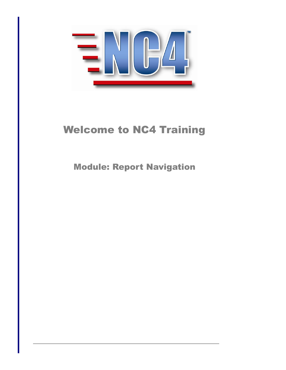

# Welcome to NC4 Training

Module: Report Navigation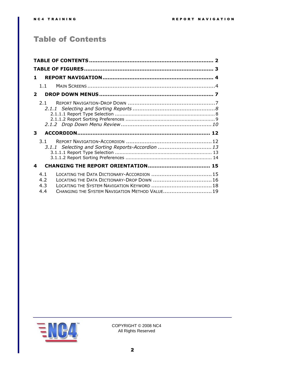# <span id="page-1-0"></span>Table of Contents

| 1              |                                                       |  |
|----------------|-------------------------------------------------------|--|
|                | 1.1                                                   |  |
| $\overline{2}$ |                                                       |  |
|                | 2.1                                                   |  |
|                |                                                       |  |
|                |                                                       |  |
|                |                                                       |  |
|                |                                                       |  |
| 3              |                                                       |  |
|                | 3.1                                                   |  |
|                | 3.1.1 Selecting and Sorting Reports-Accordion  13     |  |
|                |                                                       |  |
|                |                                                       |  |
| 4              |                                                       |  |
|                | LOCATING THE DATA DICTIONARY-ACCORDION  15<br>4.1     |  |
|                | LOCATING THE DATA DICTIONARY-DROP DOWN  16<br>4.2     |  |
|                | LOCATING THE SYSTEM NAVIGATION KEYWORD  18<br>4.3     |  |
|                | CHANGING THE SYSTEM NAVIGATION METHOD VALUE 19<br>4.4 |  |

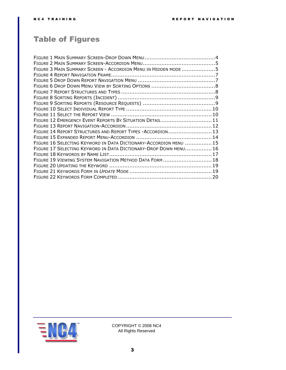# <span id="page-2-0"></span>Table of Figures

| FIGURE 3 MAIN SUMMARY SCREEN - ACCORDION MENU IN HIDDEN MODE 5    |  |
|-------------------------------------------------------------------|--|
|                                                                   |  |
|                                                                   |  |
|                                                                   |  |
|                                                                   |  |
|                                                                   |  |
|                                                                   |  |
|                                                                   |  |
|                                                                   |  |
| FIGURE 12 EMERGENCY EVENT REPORTS BY SITUATION DETAIL 11          |  |
|                                                                   |  |
| FIGURE 14 REPORT STRUCTURES AND REPORT TYPES - ACCORDION 13       |  |
|                                                                   |  |
| FIGURE 16 SELECTING KEYWORD IN DATA DICTIONARY-ACCORDION MENU  15 |  |
| FIGURE 17 SELECTING KEYWORD IN DATA DICTIONARY-DROP DOWN MENU 16  |  |
|                                                                   |  |
| FIGURE 19 VIEWING SYSTEM NAVIGATION METHOD DATA FORM 18           |  |
|                                                                   |  |
|                                                                   |  |
|                                                                   |  |
|                                                                   |  |

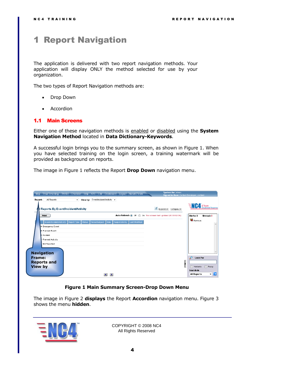# <span id="page-3-0"></span>1 Report Navigation

The application is delivered with two report navigation methods. Your application will display ONLY the method selected for use by your organization.

The two types of Report Navigation methods are:

- Drop Down
- Accordion

### <span id="page-3-1"></span>1.1 Main Screens

Either one of these navigation methods is enabled or disabled using the **System Navigation Method** located in **Data Dictionary-Keywords**.

A successful login brings you to the summary screen, as shown in [Figure 1.](#page-3-2) When you have selected training on the login screen, a training watermark will be provided as background on reports.

The image in Figure 1 reflects the Report **Drop Down** navigation menu.

| All Reports<br>Report:                                                                                                      | Map Real Time Msg Profile Checklist Help ARE EIM Dashboard Logout About ETeam<br>View by: Event/Incident/Activity $\blacktriangledown$<br>$\overline{\phantom{a}}$ |                                                                                  | <b>System for: eteam</b><br>Signed in User: Content Developer, content                                 |
|-----------------------------------------------------------------------------------------------------------------------------|--------------------------------------------------------------------------------------------------------------------------------------------------------------------|----------------------------------------------------------------------------------|--------------------------------------------------------------------------------------------------------|
| Reports By Event/Incident/Activity                                                                                          |                                                                                                                                                                    | Expand All Collapse All                                                          | <b>ENCA</b> E Team                                                                                     |
| <b>Print</b><br>Event/Incident/Activity<br>Emergency Event<br>Planned Event<br>Incident<br>Planned Activity<br>Not Reported | Report Type<br>Name/Subject<br><b>Status</b><br>Date<br>Responsibility                                                                                             | Auto Refresh @ Off<br>On This screen last updated (00:00:02:06)<br>Last Modified | Alerts: 0<br>Unread: 0<br><b>X</b> Remove<br>$\blacktriangle$                                          |
| <b>Navigation</b><br>Frame:<br><b>Reports and</b><br><b>View by</b>                                                         | ⊣<br>,                                                                                                                                                             |                                                                                  | <b>Look For</b><br>$\Box$<br>Variants<br>Fuzzy<br>Search In<br>♭<br><b>All Reports</b><br>$\checkmark$ |

### <span id="page-3-2"></span>**Figure 1 Main Summary Screen-Drop Down Menu**

The image in Figure 2 **displays** the Report **Accordion** navigation menu. [Figure 3](#page-4-1) shows the menu **hidden**.

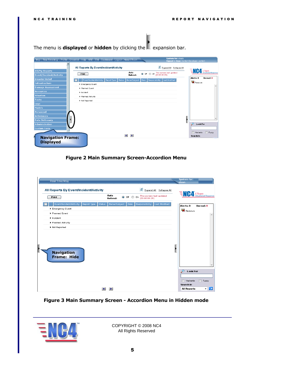The menu is **displayed** or **hidden** by clicking the expansion bar.

| Map-                                        | Real Time Msg Profile Checklist Help ARE EIM Dashboard Logout About ETeam | <b>System for: eteam</b><br>Signed in User: Content Developer, content      |
|---------------------------------------------|---------------------------------------------------------------------------|-----------------------------------------------------------------------------|
| <b>All/My Reports</b>                       | All Reports By Event/Incident/Activity                                    | B<br>Expand All Collapse All                                                |
| <b>Event/Incident/Activity</b>              | Auto<br>$\circledcirc$ Off $\circledcirc$ On<br><b>Print</b><br>Refresh   | E Team<br>Situational Response<br>This screen last updated<br>(00:00:00:09) |
| <b>Disaster Relief</b><br>Infrastructure    | Event/Indident/Activity<br>Report Type<br>Name/Subject<br>Status<br>Date  | Alerts: 0<br>Unread: 0<br>Last Modified<br>Responsibility<br>Remove         |
| <b>Damage Assessment</b>                    | ▶ Emergency Event<br>Planned Event                                        |                                                                             |
| <b>Resources</b><br><b>Situation</b>        | $\blacktriangleright$ Incident                                            |                                                                             |
| <b>Tasks</b>                                | Planned Activity<br>I Not Reported                                        |                                                                             |
| Logs<br><b>Models</b>                       |                                                                           |                                                                             |
| Personnel                                   |                                                                           |                                                                             |
| <b>References</b><br><b>Data Dictionary</b> |                                                                           |                                                                             |
| <b>Administration</b>                       |                                                                           | $\mathcal{D}$<br><b>Look For</b>                                            |
| <b>Custom Form</b>                          |                                                                           | Variants<br>Fuzzy                                                           |
| <b>Navigation Frame:</b>                    | $\left  \right $<br>$\blacktriangleright$                                 | Search in                                                                   |
| <b>Displayed</b>                            |                                                                           |                                                                             |

### **Figure 2 Main Summary Screen-Accordion Menu**

<span id="page-4-0"></span>

| Real Time Msq<br>All Reports By Event/Incident/Activity                                                                                                                                                 | е<br>Expand All<br>Collapse All                                                        | <b>System for:</b><br>eteam                    |
|---------------------------------------------------------------------------------------------------------------------------------------------------------------------------------------------------------|----------------------------------------------------------------------------------------|------------------------------------------------|
| <b>Print</b>                                                                                                                                                                                            | Auto<br>This screen last updated<br>$\odot$ Off $\odot$ On<br>(00:00:00:28)<br>Refresh | $\equiv$ <b>NC4</b> E Team                     |
| Event/Indident/Activity<br>Report Type<br>Status<br>▶ Emergency Event<br>Planned Event<br>$\blacktriangleright$ Incident<br>Planned Activity<br>Mot Reported<br><b>Navigation</b><br><b>Frame: Hide</b> | Last Modified<br>Name/Subject<br>Responsibility<br>Date                                | Alerts: 0<br>Unread: 0<br>Remove               |
|                                                                                                                                                                                                         |                                                                                        | ₽<br><b>Look For</b><br>Variants<br>m<br>Fuzzy |
|                                                                                                                                                                                                         | $\blacktriangleright$                                                                  | Search In<br>⋻<br><b>All Reports</b><br>۰      |

### <span id="page-4-1"></span>**Figure 3 Main Summary Screen - Accordion Menu in Hidden mode**

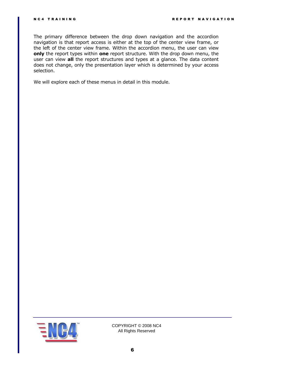The primary difference between the drop down navigation and the accordion navigation is that report access is either at the top of the center view frame, or the left of the center view frame. Within the accordion menu, the user can view **only** the report types within **one** report structure. With the drop down menu, the user can view **all** the report structures and types at a glance. The data content does not change, only the presentation layer which is determined by your access selection.

We will explore each of these menus in detail in this module.

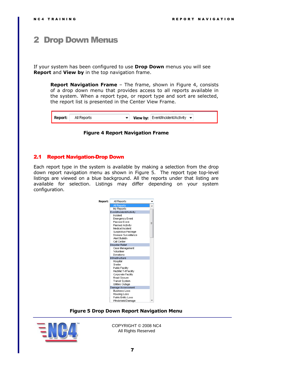# <span id="page-6-0"></span>2 Drop Down Menus

If your system has been configured to use **Drop Down** menus you will see **Report** and **View by** in the top navigation frame.

**Report Navigation Frame** – The frame, shown in [Figure 4,](#page-6-2) consists of a drop down menu that provides access to all reports available in the system. When a report type, or report type and sort are selected, the report list is presented in the Center View Frame.

| ' Report:<br><b>View by:</b> Event/Incident/Activity $\blacktriangledown$<br>All Reports |
|------------------------------------------------------------------------------------------|
|------------------------------------------------------------------------------------------|

**Figure 4 Report Navigation Frame**

### <span id="page-6-2"></span><span id="page-6-1"></span>2.1 Report Navigation-Drop Down

Each report type in the system is available by making a selection from the drop down report navigation menu as shown in [Figure 5.](#page-6-3) The report type top-level listings are viewed on a blue background. All the reports under that listing are available for selection. Listings may differ depending on your system configuration.



**Figure 5 Drop Down Report Navigation Menu**

<span id="page-6-3"></span>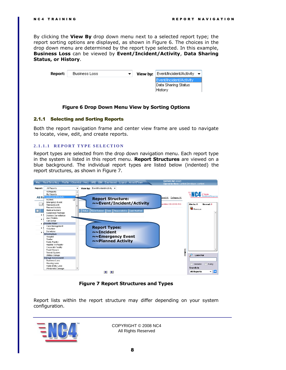By clicking the **View By** drop down menu next to a selected report type; the report sorting options are displayed, as shown in [Figure 6.](#page-7-2) The choices in the drop down menu are determined by the report type selected. In this example, **Business Loss** can be viewed by **Event/Incident/Activity**, **Data Sharing Status, or History**.

| Report: | Business Loss | View by: | 'Event/Incident/Activity <del>▼</del> )                      |  |
|---------|---------------|----------|--------------------------------------------------------------|--|
|         |               |          | Event/Incident/Activity<br> Data Sharing Status <br> History |  |

### **Figure 6 Drop Down Menu View by Sorting Options**

#### <span id="page-7-2"></span><span id="page-7-0"></span>2.1.1 Selecting and Sorting Reports

Both the report navigation frame and center view frame are used to navigate to locate, view, edit, and create reports.

### <span id="page-7-1"></span>**2 . 1 . 1 . 1 R E P O R T T Y P E S E L E C T I O N**

Report types are selected from the drop down navigation menu. Each report type in the system is listed in this report menu. **Report Structures** are viewed on a blue background. The individual report types are listed below (indented) the report structures, as shown in [Figure 7.](#page-7-3)

| Map-    |                                                       |              |        | Real Time Msg Profile Checklist Help ARE EIM Dashboard Logout About ETeam | <b>System for: eteam</b><br>Signed in User: Content Developer, content |                              |
|---------|-------------------------------------------------------|--------------|--------|---------------------------------------------------------------------------|------------------------------------------------------------------------|------------------------------|
| Report: | All Reports                                           | ٠            |        | View by: Event/Incident/Activity $\blacktriangledown$                     |                                                                        |                              |
|         | All Reports                                           |              |        |                                                                           |                                                                        |                              |
|         | My Reports                                            |              |        |                                                                           |                                                                        | <b>ENC4</b> ETeam            |
|         | All Re <sup>Event/Incident/Activity</sup><br>Incident | $\mathbb{Z}$ |        | <b>Report Structure:</b>                                                  | pand All Collapse All                                                  |                              |
|         | Emergency Event                                       |              |        |                                                                           |                                                                        |                              |
|         | <b>Planned Event</b>                                  |              |        | ~~Event/Incident/Activity                                                 | updated (00:00:00:53)                                                  | Alerts: 0<br>Unread: 0       |
|         | Planned Activity                                      |              |        |                                                                           |                                                                        | Remove                       |
|         | Medical Incident                                      |              | Status | Name/Subject<br>Last Modified<br>Date<br>Responsibility                   |                                                                        |                              |
|         | Suspicious Package<br>▶ E<br>Disease Surveillance     |              |        |                                                                           |                                                                        |                              |
|         | Alert Bulletin                                        |              |        |                                                                           |                                                                        |                              |
| F       | Call Center                                           |              |        |                                                                           |                                                                        |                              |
|         | Disaster Relief                                       |              |        |                                                                           |                                                                        |                              |
|         | Case Management                                       |              |        |                                                                           |                                                                        |                              |
|         | ▶ F<br>Volunteer                                      |              |        | <b>Report Types:</b>                                                      |                                                                        |                              |
|         | Donations<br>ьн                                       |              |        | $\sim$ Incident                                                           |                                                                        |                              |
|         | Infrastructure                                        |              |        |                                                                           |                                                                        |                              |
|         | Hospital<br>Shelter                                   |              |        | ~~Emergency Event                                                         |                                                                        |                              |
|         | Public Facility                                       |              |        | ~~ Planned Activity                                                       |                                                                        |                              |
|         | HazMat T-II Facility                                  |              |        |                                                                           |                                                                        |                              |
|         | Corporate Facility                                    |              |        |                                                                           |                                                                        |                              |
|         | Road Closure                                          |              |        |                                                                           |                                                                        |                              |
|         | <b>Transit System</b>                                 |              |        |                                                                           |                                                                        |                              |
|         | Utilities Outage                                      |              |        |                                                                           |                                                                        | <b>Look For</b>              |
|         | Damage Assessment<br><b>Business Loss</b>             |              |        |                                                                           |                                                                        |                              |
|         | Housing Loss                                          |              |        |                                                                           |                                                                        |                              |
|         | Public Entity Loss                                    |              |        |                                                                           |                                                                        | Variants<br>Fuzzy            |
|         | Windshield Damage                                     |              |        |                                                                           |                                                                        | Search In                    |
|         |                                                       |              |        | $\blacktriangleright$                                                     |                                                                        | ♭<br><b>All Reports</b><br>۰ |

**Figure 7 Report Structures and Types**

<span id="page-7-3"></span>Report lists within the report structure may differ depending on your system configuration.

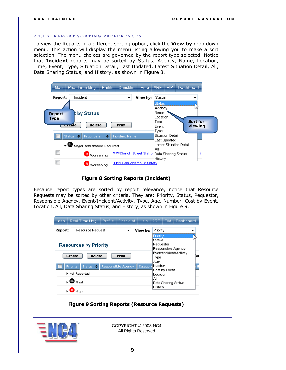### <span id="page-8-0"></span>**2 . 1 . 1 . 2 R E P O R T S O R T I N G P R E F E R E N C E S**

To view the Reports in a different sorting option, click the **View by** drop down menu. This action will display the menu listing allowing you to make a sort selection. The menu choices are governed by the report type selected. Notice that **Incident** reports may be sorted by Status, Agency, Name, Location, Time, Event, Type, Situation Detail, Last Updated, Latest Situation Detail, All, Data Sharing Status, and History, as shown in [Figure 8.](#page-8-1)

| Map                          | Real Time Msq                        | Profile | <b>Checklist</b>                                | <b>Help</b> | ARE,                                 | EIM. | <b>Dashboard</b>                  |     |
|------------------------------|--------------------------------------|---------|-------------------------------------------------|-------------|--------------------------------------|------|-----------------------------------|-----|
| Report:                      | Incident                             |         | ▼                                               | View by:    | Status                               |      |                                   |     |
| <b>Report</b><br><b>Type</b> | t by Status                          |         |                                                 |             | Status<br>Agency<br>Name<br>Location |      |                                   |     |
|                              | <b>Delete</b><br><del>क</del> ्ता स् |         | <b>Print</b>                                    |             | Time<br>Event<br>Type                |      | <b>Sort for</b><br><b>Viewing</b> |     |
|                              | Status $\Rightarrow$<br>Prognosis    | ≙       | <b>Incident Name</b>                            |             | Situation Detail.<br>Last Updated    |      |                                   |     |
|                              | ▼ ● Major Assistance Required        |         |                                                 |             | Latest Situation Detail.<br>Αll      |      |                                   |     |
|                              | R Worsening                          |         | ******Church Street Station Data Sharing Status |             | History                              |      |                                   | lmi |
|                              | R<br>Worsening                       |         | 3311 Beauchamp St Safety                        |             |                                      |      |                                   |     |

### **Figure 8 Sorting Reports (Incident)**

<span id="page-8-1"></span>Because report types are sorted by report relevance, notice that Resource Requests may be sorted by other criteria. They are: Priority, Status, Requestor, Responsible Agency, Event/Incident/Activity, Type, Age, Number, Cost by Event, Location, All, Data Sharing Status, and History, as shown in [Figure 9.](#page-8-2)

| Map                                                                                   | Real Time Msq           | Profile                                | Checklist          | Help     | ARE.<br><b>EIM</b>                    | Dashboard |  |  |
|---------------------------------------------------------------------------------------|-------------------------|----------------------------------------|--------------------|----------|---------------------------------------|-----------|--|--|
| Report:                                                                               | Resource Request        |                                        |                    | View by: | Priority                              |           |  |  |
| Priority<br>Status<br>Requestor<br><b>Resources by Priority</b><br>Responsible Agency |                         |                                        |                    |          |                                       |           |  |  |
|                                                                                       | Create<br><b>Delete</b> | Event/Incident/Activity<br>Type<br>Age |                    |          |                                       |           |  |  |
|                                                                                       | Priority<br>Status<br>٠ |                                        | Responsible Agency | Category | Number<br>Cost by Event               |           |  |  |
|                                                                                       | Not Reported            |                                        |                    |          | Location                              |           |  |  |
|                                                                                       | ▲ 粵 <sub>Flash</sub>    |                                        |                    |          | Аll<br>Data Sharing Status<br>History |           |  |  |
|                                                                                       | High                    |                                        |                    |          |                                       |           |  |  |

### **Figure 9 Sorting Reports (Resource Requests)**

<span id="page-8-2"></span>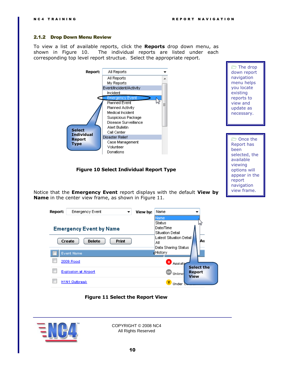#### <span id="page-9-0"></span>2.1.2 Drop Down Menu Review

To view a list of available reports, click the **Reports** drop down menu, as shown in [Figure 10.](#page-9-1) The individual reports are listed under each corresponding top level report structue. Select the appropriate report.





The drop down report navigation menu helps you locate existing reports to view and update as necessary.

Once the Report has been selected, the available viewing options will appear in the report navigation view frame.

<span id="page-9-1"></span>Notice that the **Emergency Event** report displays with the default **View by Name** in the center view frame, as shown in [Figure 11.](#page-9-2)

| Report: | Emergency Event                                              | View by: | Name                                                                              |                                    |
|---------|--------------------------------------------------------------|----------|-----------------------------------------------------------------------------------|------------------------------------|
|         | <b>Emergency Event by Name</b>                               |          | Name<br>Status<br>Date/Time<br><b>Situation Detail</b><br>Latest Situation Detail |                                    |
|         | <b>Delete</b><br><b>Print</b><br>Create<br><b>Event Name</b> |          | Αll<br>Data Sharing Status<br>∎Historγ                                            | Au                                 |
|         | 2009 Flood                                                   |          | R<br>Assista                                                                      |                                    |
|         | <b>Explosion at Airport</b>                                  |          | GR<br>Unknot<br><b>View</b>                                                       | <b>Select the</b><br><b>Report</b> |
|         | H1N1 Outbreak                                                |          | Hodel                                                                             |                                    |

#### **Figure 11 Select the Report View**

<span id="page-9-2"></span>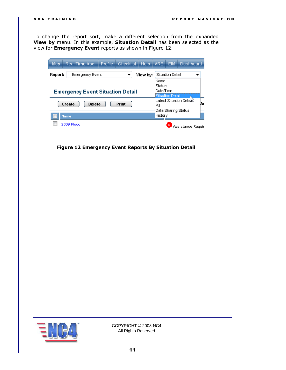To change the report sort, make a different selection from the expanded **View by** menu. In this example, **Situation Detail** has been selected as the view for **Emergency Event** reports as shown in [Figure 12.](#page-10-0)

| Map                                                                  | Real Time Msg                           | Profile                              | <b>Checklist</b> |  | Help | ARE.    | <b>EIM</b>              | Dashboard                                      |    |
|----------------------------------------------------------------------|-----------------------------------------|--------------------------------------|------------------|--|------|---------|-------------------------|------------------------------------------------|----|
| Report:<br><b>Emergency Event</b><br>View by:<br>▼<br>Name<br>Status |                                         |                                      |                  |  |      |         | <b>Situation Detail</b> |                                                |    |
|                                                                      | <b>Emergency Event Situation Detail</b> | Date/Time<br><b>Situation Detail</b> |                  |  |      |         |                         |                                                |    |
| <b>Delete</b><br>Create<br><b>Print</b>                              |                                         |                                      |                  |  |      | Αll     |                         | Latest Situation Detawi<br>Data Sharing Status | Aι |
|                                                                      | Name.                                   |                                      |                  |  |      | History |                         |                                                |    |
|                                                                      | 2009 Flood                              |                                      |                  |  |      |         |                         | Assistance Requir                              |    |

<span id="page-10-0"></span>**Figure 12 Emergency Event Reports By Situation Detail**

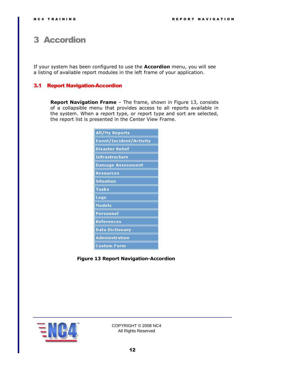# <span id="page-11-0"></span>3 Accordion

If your system has been configured to use the **Accordion** menu, you will see a listing of available report modules in the left frame of your application.

### <span id="page-11-1"></span>3.1 Report Navigation-Accordion

**Report Navigation Frame** – The frame, shown in [Figure 13,](#page-11-2) consists of a collapsible menu that provides access to all reports available in the system. When a report type, or report type and sort are selected, the report list is presented in the Center View Frame.

| <b>All/My Reports</b>          |
|--------------------------------|
| <b>Event/Incident/Activity</b> |
| Disaster Relief                |
| <b>Infrastructure</b>          |
| <b>Damage Assessment</b>       |
| <b>Resources</b>               |
| <b>Situation</b>               |
| Tasks                          |
| Logs                           |
| Models                         |
| <u>Personnel</u>               |
| <b>References</b>              |
| <b>Data Dictionary</b>         |
| Administration                 |
| <b>Custom Form</b>             |

<span id="page-11-2"></span>**Figure 13 Report Navigation-Accordion**

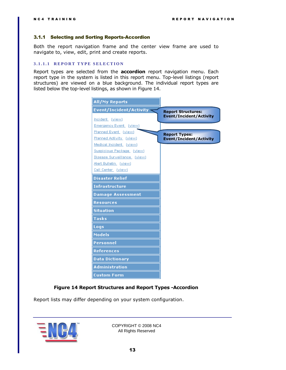### <span id="page-12-0"></span>3.1.1 Selecting and Sorting Reports-Accordion

Both the report navigation frame and the center view frame are used to navigate to, view, edit, print and create reports.

### <span id="page-12-1"></span>**3 . 1 . 1 . 1 R E P O R T T Y P E S E L E C T I O N**

Report types are selected from the **accordion** report navigation menu. Each report type in the system is listed in this report menu. Top-level listings (report structures) are viewed on a blue background. The individual report types are listed below the top-level listings, as shown in [Figure 14.](#page-12-2)



### **Figure 14 Report Structures and Report Types -Accordion**

<span id="page-12-2"></span>Report lists may differ depending on your system configuration.

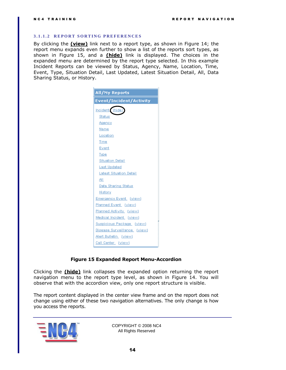### <span id="page-13-0"></span>**3 . 1 . 1 . 2 R E P O R T S O R T I N G P R E F E R E N C E S**

By clicking the **(view)** link next to a report type, as shown in [Figure 14;](#page-12-2) the report menu expands even further to show a list of the reports sort types, as shown in [Figure 15,](#page-13-1) and a **(hide)** link is displayed. The choices in the expanded menu are determined by the report type selected. In this example Incident Reports can be viewed by Status, Agency, Name, Location, Time, Event, Type, Situation Detail, Last Updated, Latest Situation Detail, All, Data Sharing Status, or History.



### **Figure 15 Expanded Report Menu-Accordion**

<span id="page-13-1"></span>Clicking the **(hide)** link collapses the expanded option returning the report navigation menu to the report type level, as shown in [Figure 14.](#page-12-2) You will observe that with the accordion view, only one report structure is visible.

The report content displayed in the center view frame and on the report does not change using either of these two navigation alternatives. The only change is how you access the reports.

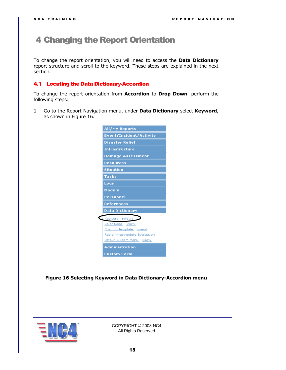# <span id="page-14-0"></span>4 Changing the Report Orientation

To change the report orientation, you will need to access the **Data Dictionary** report structure and scroll to the keyword. These steps are explained in the next section.

### <span id="page-14-1"></span>4.1 Locating the Data Dictionary-Accordion

To change the report orientation from **Accordion** to **Drop Down**, perform the following steps:

1 Go to the Report Navigation menu, under **Data Dictionary** select **Keyword**, as shown in [Figure 16.](#page-14-2)

| All/My Reports<br>Event/Incident/Activity<br>Disaster Relief<br>Infrastructure<br>Damage Assessment<br>Resources<br><b>Situation</b><br><b>Tasks</b><br>Logs<br>Models<br>Personnel |
|-------------------------------------------------------------------------------------------------------------------------------------------------------------------------------------|
|                                                                                                                                                                                     |
|                                                                                                                                                                                     |
|                                                                                                                                                                                     |
|                                                                                                                                                                                     |
|                                                                                                                                                                                     |
|                                                                                                                                                                                     |
|                                                                                                                                                                                     |
|                                                                                                                                                                                     |
|                                                                                                                                                                                     |
|                                                                                                                                                                                     |
|                                                                                                                                                                                     |
| References                                                                                                                                                                          |
| <b>Data Dictionary</b>                                                                                                                                                              |
| Keyword (view)                                                                                                                                                                      |
| Color Code (view)                                                                                                                                                                   |
| Position Template (view)                                                                                                                                                            |
| Rapid Infrastructure Evaluation                                                                                                                                                     |
| Default E Team Menu (view)                                                                                                                                                          |
| <b>Administration</b>                                                                                                                                                               |
| <b>Custom Form</b>                                                                                                                                                                  |

<span id="page-14-2"></span>**Figure 16 Selecting Keyword in Data Dictionary-Accordion menu**

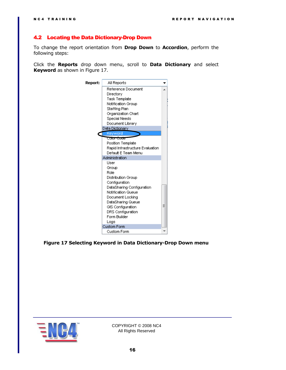### <span id="page-15-0"></span>4.2 Locating the Data Dictionary-Drop Down

To change the report orientation from **Drop Down** to **Accordion**, perform the following steps:

Click the **Reports** drop down menu, scroll to **Data Dictionary** and select **Keyword** as shown in [Figure 17.](#page-15-1)



### <span id="page-15-1"></span>**Figure 17 Selecting Keyword in Data Dictionary-Drop Down menu**

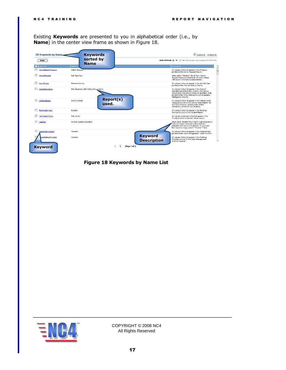Existing **Keywords** are presented to you in alphabetical order (i.e., by **Name**) in the center view frame as shown in [Figure 18.](#page-16-0)

| DD Keywords by Name.<br>Print | <b>Keywords</b><br>sorted by<br><b>Name</b>   |                                      | Expand All Collapse All<br>Auto Refresh @ Off @ On This screen last updated (00:00:00:09)                                                                                                                                           |
|-------------------------------|-----------------------------------------------|--------------------------------------|-------------------------------------------------------------------------------------------------------------------------------------------------------------------------------------------------------------------------------------|
| <b>Sexword</b>                | Reports                                       |                                      | $\blacktriangle$<br>Description                                                                                                                                                                                                     |
| <b>Action Report Progress</b> | <b>Action Request</b>                         |                                      | All values in this list appear in the Progress<br>E<br>picklist on the Action Request Report.                                                                                                                                       |
| ActionRequest                 | Sub-Task.Task                                 |                                      | When set to ""Fnable"" the F Team Action.<br>Request Feature is functional. All other values<br>will result in the feature being hidden.                                                                                            |
| ActivityType                  | Planned Activity                              |                                      | All values in this list appear in the Activity Type<br>picklist on the Planned Activity Report.                                                                                                                                     |
| Area Of Operation             | Intel Biography, Intel Entity, Intel Location |                                      | All values in this list appear in the Area of<br>Operation picklist on the Location Intelligence<br>Report and in the Known Areas of Operation multi-<br>picklist on the Entity Intelligence and Biography<br>Intelligence Reports. |
| <b>AssetCategory</b>          | <b>Critical Assets</b><br>used.               | <b>Report(s)</b>                     | All values in this list appear in the Critical Asset<br>Category picklist on the Critical Asset Report, DO<br>NOT USE SPECIAL CHARACTERS WHEN<br>ENTERING CATEGORY KEYWORDS.                                                        |
| <b>BuildingDamage</b>         | Incident                                      |                                      | All values in this list appear in the Building<br>Damage picklist on the Incident Report.                                                                                                                                           |
| <b>Call Center Priority</b>   | Call Center                                   |                                      | All values contained in this list appear in the<br>Priority picklist on the Call Center report.                                                                                                                                     |
| Cantoha                       | General System Operation                      |                                      | When set to "Enable" the E Team Login includes a<br>Captoha image challenge code to prevent<br>potential Bots spams and attacks. To suppress<br>this Captcha Image, select ""Disable"" here.                                        |
| <b>CaseCashPurpose</b>        | Voucher                                       |                                      | All values in this list appear in the Purpose/Type<br>picklist on the Case Management - Cash Voucher.                                                                                                                               |
| seClothingProvider            | Voucher                                       | <b>Keyword</b><br><b>Description</b> | All values in this list appear in the Clothing<br>Provider picklist on the Case Management -<br>$\overline{\phantom{a}}$<br>Clothing Voucher.                                                                                       |
| <b>Keyword</b>                |                                               | (Page 1 of 2)                        |                                                                                                                                                                                                                                     |

<span id="page-16-0"></span>**Figure 18 Keywords by Name List**

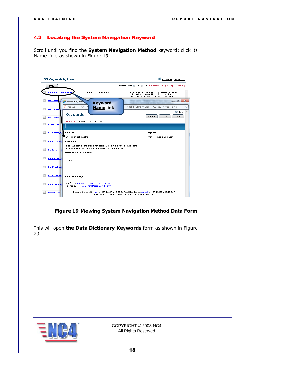### <span id="page-17-0"></span>4.3 Locating the System Navigation Keyword

Scroll until you find the **System Navigation Method** keyword; click its Name link, as shown in [Figure 19.](#page-17-1)

| DD Keywords by Name    |                                                                                                                                                 | я<br>Expand All Collapse All                                                                                                                                                |
|------------------------|-------------------------------------------------------------------------------------------------------------------------------------------------|-----------------------------------------------------------------------------------------------------------------------------------------------------------------------------|
| Print                  |                                                                                                                                                 | Auto Refresh @ Off @ On This screen last updated (00:00:01:30)                                                                                                              |
| SystemNavigationMethod | General System Operation                                                                                                                        | This value controls the system navigation method.<br>If this value is enabled the default drop down<br>menu will be replaced by an accordian menu.                          |
| TaskSubTa              | eteam: Keywords<br><b>Keyword</b>                                                                                                               | $\mathbf{x}$<br>$= 0$<br>Traditions in Flam entered into this Chart-                                                                                                        |
| <b>TaskSubTas</b>      | E http://preview.nc4.u<br><b>Name link</b>                                                                                                      | =read&id=12345-SYSTEM-8000&reportType=keyword<br>図                                                                                                                          |
| <b>TaskSubTask</b>     | Keywords                                                                                                                                        | C Help<br>Print<br>Update<br>Close                                                                                                                                          |
| Threat Origin          | *Red Label: indicates a required field.                                                                                                         |                                                                                                                                                                             |
|                        |                                                                                                                                                 |                                                                                                                                                                             |
| <b>Tier IIChemTyp</b>  | Keyword:<br>SystemNavigationMethod                                                                                                              | Reports:<br>General System Operation                                                                                                                                        |
| TierIIContaine         | Description:                                                                                                                                    |                                                                                                                                                                             |
|                        | This value controls the system navigation method. If this value is enabled the<br>default drop down menu will be replaced by an accordian menu. |                                                                                                                                                                             |
| TierIllnventor         | ENTER KEYWORD VALUES:                                                                                                                           |                                                                                                                                                                             |
| <b>TierIILandOwr</b>   | Disable                                                                                                                                         |                                                                                                                                                                             |
| <b>Tier IIPhys Haz</b> |                                                                                                                                                 |                                                                                                                                                                             |
| TierIIPressure         | <b>Keyword History</b>                                                                                                                          |                                                                                                                                                                             |
| TierIITempera          | Modified by: content on 10/11/2009 at 17:16 EST<br>Modified by: content on 10/11/2009 at 16:54 EST                                              |                                                                                                                                                                             |
| <b>TransitCause</b>    |                                                                                                                                                 | Document Created by: null on 05/14/2007 at 13:56 EST LastModified by: content on 10/11/2009 at 17:16 EST<br>Copyright @ 2009 by NC4 Public Sector LLC, All Rights Reserved. |

**Figure 19** *View***ing System Navigation Method Data Form**

<span id="page-17-1"></span>This will open **the Data Dictionary Keywords** form as shown in [Figure](#page-18-1)  [20.](#page-18-1)

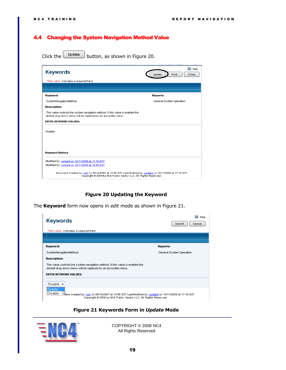## <span id="page-18-0"></span>4.4 Changing the System Navigation Method Value

Click the  $\begin{bmatrix} \omega_{\text{pdate}} \\ \omega_{\text{pdate}} \end{bmatrix}$  button, as shown in [Figure 20.](#page-18-1)

| <b>Keywords</b>                                                                                                                                                             | ⊚<br>Help<br>Print<br>Close<br>Update |
|-----------------------------------------------------------------------------------------------------------------------------------------------------------------------------|---------------------------------------|
| *Red Label: indicates a required field.                                                                                                                                     |                                       |
|                                                                                                                                                                             |                                       |
|                                                                                                                                                                             |                                       |
| Keyword:                                                                                                                                                                    | Reports:                              |
| SystemNavigationMethod                                                                                                                                                      | General System Operation              |
| <b>Description:</b>                                                                                                                                                         |                                       |
| This value controls the system navigation method. If this value is enabled the<br>default drop down menu will be replaced by an accordian menu.                             |                                       |
| <b>ENTER KEYWORD VALUES:</b>                                                                                                                                                |                                       |
| Disable                                                                                                                                                                     |                                       |
| <b>Keyword History</b>                                                                                                                                                      |                                       |
| Modified by: content on 10/11/2009 at 17:16 EST<br>Modified by: content on 10/11/2009 at 16:54 EST                                                                          |                                       |
| Document Created by: null on 05/14/2007 at 13:56 EST LastModified by: content on 10/11/2009 at 17:16 EST<br>Copyright @ 2009 by NC4 Public Sector LLC, All Rights Reserved. |                                       |

### **Figure 20 Updating the Keyword**

<span id="page-18-1"></span>The **Keyword** form now opens in *edit* mode as shown in [Figure 21.](#page-18-2)

| <b>Keywords</b>                                                                                                                                                                                             | Help<br>Submit<br>Cancel |
|-------------------------------------------------------------------------------------------------------------------------------------------------------------------------------------------------------------|--------------------------|
| *Red Label: indicates a required field.                                                                                                                                                                     |                          |
|                                                                                                                                                                                                             |                          |
| Keyword:                                                                                                                                                                                                    | Reports:                 |
| SystemNavigationMethod                                                                                                                                                                                      | General System Operation |
| Description:                                                                                                                                                                                                |                          |
| This value controls the system navigation method. If this value is enabled the<br>default drop down menu will be replaced by an accordian menu.                                                             |                          |
| <b>ENTER KEYWORD VALUES:</b>                                                                                                                                                                                |                          |
| Disable $\rightarrow$                                                                                                                                                                                       |                          |
| Enable<br>Disable<br>Myent Created by: <u>null</u> on 05/14/2007 at 13:56 EST LastModified by: <u>content</u> on 10/11/2009 at 17:16 EST<br>Copyright @ 2009 by NC4 Public Sector LLC, All Rights Reserved. |                          |

### **Figure 21 Keywords Form in** *Update* **Mode**

<span id="page-18-2"></span>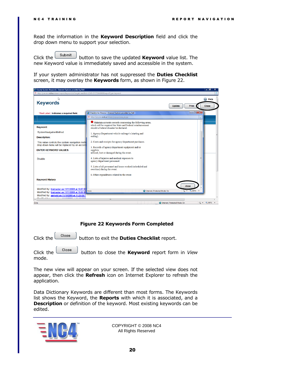Read the information in the **Keyword Description** field and click the drop down menu to support your selection.

Click the  $\left\lfloor \frac{\text{Submit}}{\text{button}} \right\rfloor$  button to save the updated **Keyword** value list. The new Keyword value is immediately saved and accessible in the system.

If your system administrator has not suppressed the **Duties Checklist** screen, it may overlay the **Keywords** form, as shown in [Figure 22.](#page-19-0)

| County System: Keywords - Internet Explorer provided by Dell                                                                                                                                |                                                                                                                                                                                                                                                                                                                                                                        | - 10<br>$\boldsymbol{\mathsf{x}}$ |
|---------------------------------------------------------------------------------------------------------------------------------------------------------------------------------------------|------------------------------------------------------------------------------------------------------------------------------------------------------------------------------------------------------------------------------------------------------------------------------------------------------------------------------------------------------------------------|-----------------------------------|
| (D) http://preview.nc4.us/eteam/report/keyword.do?target=read&id=12345-SYSTEM-8000&reportType=keyword                                                                                       |                                                                                                                                                                                                                                                                                                                                                                        |                                   |
| ↳<br><b>Keywords</b>                                                                                                                                                                        | <b>Update</b><br><b>Print</b>                                                                                                                                                                                                                                                                                                                                          | ඹ<br>Help<br><b>Close</b>         |
| "Red Label: indicates a required field.                                                                                                                                                     | Checklist for Director - Internet Explorer provided by Dell                                                                                                                                                                                                                                                                                                            |                                   |
|                                                                                                                                                                                             | 圏<br>(E) http://preview.nc4.us/eteam/popups/pop_jas.jsp                                                                                                                                                                                                                                                                                                                |                                   |
| Keyword:<br>SystemNavigationMethod<br><b>Description:</b><br>This value controls the system navigation meth<br>drop down menu will be replaced by an accord<br><b>ENTER KEYWORD VALUES:</b> | ٠<br>• Maintain accurate records concerning the following areas,<br>which will be required for State and Federal reimbursement<br>should a Federal disaster be declared.<br>1. Agency/Department vehicle mileage's (starting and<br>ending).<br>2. Costs and receipts for agency/department purchases.<br>3. Records of agency/department equipment and/or<br>supplies |                                   |
| <b>Disable</b>                                                                                                                                                                              | utilized, lost or damaged during the event.<br>4. Lists of injuries and medical expenses to<br>agency/department personnel.<br>5. Lists of all personnel and hours worked (scheduled and<br>overtime) during the event.                                                                                                                                                |                                   |
| <b>Keyword History</b><br>Modified by: Instructor on 11/11/2009 at 10:57 E!<br>Modified by: Instructor on 11/11/2009 at 10:53 E                                                             | 6. Other expenditures related to the event.<br>close<br>$\frac{1}{4}$ - $\frac{160\%}{4}$ -<br><b>C</b> Internet   Protected Mode: On<br>Done                                                                                                                                                                                                                          |                                   |
| Modified by: aarnold on 11/10/2009 at 11:23 EST                                                                                                                                             |                                                                                                                                                                                                                                                                                                                                                                        |                                   |
|                                                                                                                                                                                             | m.                                                                                                                                                                                                                                                                                                                                                                     |                                   |
| Done                                                                                                                                                                                        | Internet   Protected Mode: On                                                                                                                                                                                                                                                                                                                                          | $\sqrt{a}$ $\sqrt{a}$ 160%        |

<span id="page-19-0"></span>**Figure 22 Keywords Form Completed** 

Click the  $\begin{bmatrix} \text{Close} \\ \text{button to exit the Duties Checklist report.} \end{bmatrix}$ Click the button to close the **Keyword** report form in *View* mode.

The new view will appear on your screen. If the selected view does not

appear, then click the **Refresh** icon on Internet Explorer to refresh the application.

Data Dictionary Keywords are different than most forms. The Keywords list shows the Keyword, the **Reports** with which it is associated, and a **Description** or definition of the keyword. Most existing keywords can be edited.